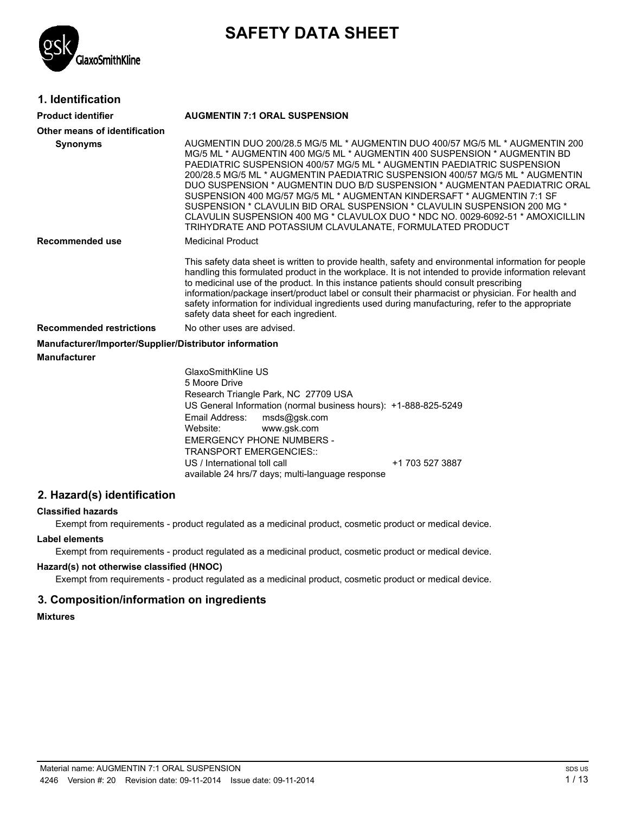

# **SAFETY DATA SHEET**

### **1. Identification**

| <b>Product identifier</b>                              | <b>AUGMENTIN 7:1 ORAL SUSPENSION</b>                                                                                                                                                                                                                                                                                                                                                                                                                                                                                                                                                                                                                                                                   |  |  |
|--------------------------------------------------------|--------------------------------------------------------------------------------------------------------------------------------------------------------------------------------------------------------------------------------------------------------------------------------------------------------------------------------------------------------------------------------------------------------------------------------------------------------------------------------------------------------------------------------------------------------------------------------------------------------------------------------------------------------------------------------------------------------|--|--|
| Other means of identification                          |                                                                                                                                                                                                                                                                                                                                                                                                                                                                                                                                                                                                                                                                                                        |  |  |
| <b>Synonyms</b>                                        | AUGMENTIN DUO 200/28.5 MG/5 ML * AUGMENTIN DUO 400/57 MG/5 ML * AUGMENTIN 200<br>MG/5 ML * AUGMENTIN 400 MG/5 ML * AUGMENTIN 400 SUSPENSION * AUGMENTIN BD<br>PAEDIATRIC SUSPENSION 400/57 MG/5 ML * AUGMENTIN PAEDIATRIC SUSPENSION<br>200/28.5 MG/5 ML * AUGMENTIN PAEDIATRIC SUSPENSION 400/57 MG/5 ML * AUGMENTIN<br>DUO SUSPENSION * AUGMENTIN DUO B/D SUSPENSION * AUGMENTAN PAEDIATRIC ORAL<br>SUSPENSION 400 MG/57 MG/5 ML * AUGMENTAN KINDERSAFT * AUGMENTIN 7:1 SF<br>SUSPENSION * CLAVULIN BID ORAL SUSPENSION * CLAVULIN SUSPENSION 200 MG *<br>CLAVULIN SUSPENSION 400 MG * CLAVULOX DUO * NDC NO. 0029-6092-51 * AMOXICILLIN<br>TRIHYDRATE AND POTASSIUM CLAVULANATE, FORMULATED PRODUCT |  |  |
| <b>Recommended use</b>                                 | <b>Medicinal Product</b>                                                                                                                                                                                                                                                                                                                                                                                                                                                                                                                                                                                                                                                                               |  |  |
|                                                        | This safety data sheet is written to provide health, safety and environmental information for people<br>handling this formulated product in the workplace. It is not intended to provide information relevant<br>to medicinal use of the product. In this instance patients should consult prescribing<br>information/package insert/product label or consult their pharmacist or physician. For health and<br>safety information for individual ingredients used during manufacturing, refer to the appropriate<br>safety data sheet for each ingredient.                                                                                                                                             |  |  |
| <b>Recommended restrictions</b>                        | No other uses are advised.                                                                                                                                                                                                                                                                                                                                                                                                                                                                                                                                                                                                                                                                             |  |  |
| Manufacturer/Importer/Supplier/Distributor information |                                                                                                                                                                                                                                                                                                                                                                                                                                                                                                                                                                                                                                                                                                        |  |  |
| <b>Manufacturer</b>                                    |                                                                                                                                                                                                                                                                                                                                                                                                                                                                                                                                                                                                                                                                                                        |  |  |
|                                                        | GlaxoSmithKline US<br>5 Moore Drive<br>Research Triangle Park, NC 27709 USA<br>US General Information (normal business hours): +1-888-825-5249<br>Email Address:<br>msds@gsk.com<br>Website:<br>www.gsk.com<br><b>EMERGENCY PHONE NUMBERS -</b><br><b>TRANSPORT EMERGENCIES::</b><br>US / International toll call<br>+1 703 527 3887<br>available 24 hrs/7 days; multi-language response                                                                                                                                                                                                                                                                                                               |  |  |

### **2. Hazard(s) identification**

### **Classified hazards**

Exempt from requirements - product regulated as a medicinal product, cosmetic product or medical device.

#### **Label elements**

Exempt from requirements - product regulated as a medicinal product, cosmetic product or medical device.

### **Hazard(s) not otherwise classified (HNOC)**

Exempt from requirements - product regulated as a medicinal product, cosmetic product or medical device.

### **3. Composition/information on ingredients**

### **Mixtures**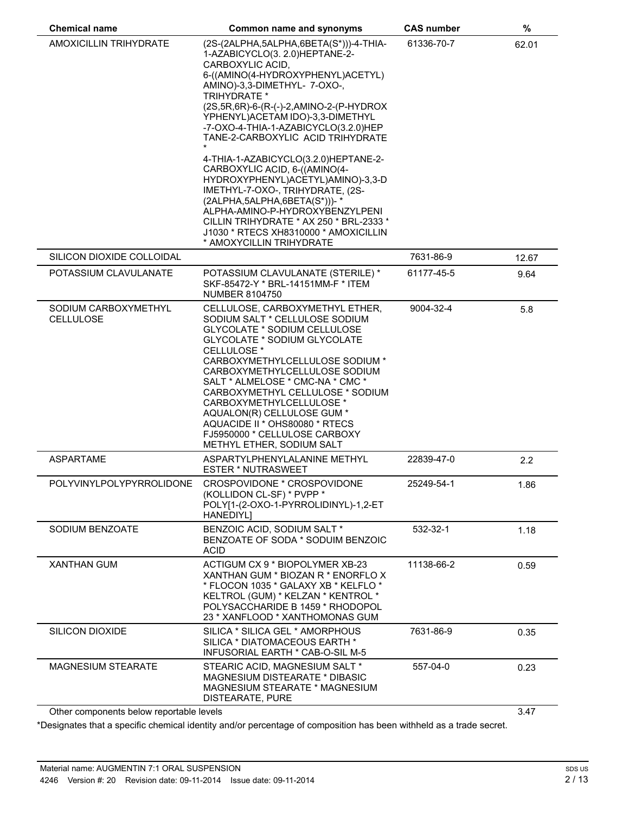| <b>Chemical name</b>              | Common name and synonyms                                                                                                                                                                                                                                                                                                                                                                                                                                                                                   | <b>CAS number</b> | $\%$  |
|-----------------------------------|------------------------------------------------------------------------------------------------------------------------------------------------------------------------------------------------------------------------------------------------------------------------------------------------------------------------------------------------------------------------------------------------------------------------------------------------------------------------------------------------------------|-------------------|-------|
| AMOXICILLIN TRIHYDRATE            | (2S-(2ALPHA,5ALPHA,6BETA(S*)))-4-THIA-<br>1-AZABICYCLO(3. 2.0)HEPTANE-2-<br>CARBOXYLIC ACID,<br>6-((AMINO(4-HYDROXYPHENYL)ACETYL)<br>AMINO)-3,3-DIMETHYL- 7-OXO-,<br><b>TRIHYDRATE *</b><br>(2S, 5R, 6R)-6-(R-(-)-2, AMINO-2-(P-HYDROX<br>YPHENYL) ACETAM IDO)-3,3-DIMETHYL<br>-7-OXO-4-THIA-1-AZABICYCLO(3.2.0)HEP<br>TANE-2-CARBOXYLIC ACID TRIHYDRATE<br>4-THIA-1-AZABICYCLO(3.2.0)HEPTANE-2-<br>CARBOXYLIC ACID, 6-((AMINO(4-<br>HYDROXYPHENYL)ACETYL)AMINO)-3,3-D<br>IMETHYL-7-OXO-, TRIHYDRATE, (2S- | 61336-70-7        | 62.01 |
|                                   | (2ALPHA, 5ALPHA, 6BETA(S*)))-*<br>ALPHA-AMINO-P-HYDROXYBENZYLPENI<br>CILLIN TRIHYDRATE * AX 250 * BRL-2333 *<br>J1030 * RTECS XH8310000 * AMOXICILLIN<br>* AMOXYCILLIN TRIHYDRATE                                                                                                                                                                                                                                                                                                                          |                   |       |
| SILICON DIOXIDE COLLOIDAL         |                                                                                                                                                                                                                                                                                                                                                                                                                                                                                                            | 7631-86-9         | 12.67 |
| POTASSIUM CLAVULANATE             | POTASSIUM CLAVULANATE (STERILE) *<br>SKF-85472-Y * BRL-14151MM-F * ITEM<br><b>NUMBER 8104750</b>                                                                                                                                                                                                                                                                                                                                                                                                           | 61177-45-5        | 9.64  |
| SODIUM CARBOXYMETHYL<br>CELLULOSE | CELLULOSE, CARBOXYMETHYL ETHER,<br>SODIUM SALT * CELLULOSE SODIUM<br>GLYCOLATE * SODIUM CELLULOSE<br>GLYCOLATE * SODIUM GLYCOLATE<br>CELLULOSE *<br>CARBOXYMETHYLCELLULOSE SODIUM *<br>CARBOXYMETHYLCELLULOSE SODIUM<br>SALT * ALMELOSE * CMC-NA * CMC *<br>CARBOXYMETHYL CELLULOSE * SODIUM<br>CARBOXYMETHYLCELLULOSE *<br>AQUALON(R) CELLULOSE GUM *<br>AQUACIDE II * OHS80080 * RTECS<br>FJ5950000 * CELLULOSE CARBOXY<br>METHYL ETHER, SODIUM SALT                                                     | 9004-32-4         | 5.8   |
| <b>ASPARTAME</b>                  | ASPARTYLPHENYLALANINE METHYL<br><b>ESTER * NUTRASWEET</b>                                                                                                                                                                                                                                                                                                                                                                                                                                                  | 22839-47-0        | 2.2   |
| POLYVINYLPOLYPYRROLIDONE          | CROSPOVIDONE * CROSPOVIDONE<br>(KOLLIDON CL-SF) * PVPP *<br>POLY[1-(2-OXO-1-PYRROLIDINYL)-1,2-ET<br>HANEDIYL]                                                                                                                                                                                                                                                                                                                                                                                              | 25249-54-1        | 1.86  |
| SODIUM BENZOATE                   | BENZOIC ACID, SODIUM SALT *<br>BENZOATE OF SODA * SODUIM BENZOIC<br><b>ACID</b>                                                                                                                                                                                                                                                                                                                                                                                                                            | 532-32-1          | 1.18  |
| <b>XANTHAN GUM</b>                | ACTIGUM CX 9 * BIOPOLYMER XB-23<br>XANTHAN GUM * BIOZAN R * ENORFLO X<br>* FLOCON 1035 * GALAXY XB * KELFLO *<br>KELTROL (GUM) * KELZAN * KENTROL *<br>POLYSACCHARIDE B 1459 * RHODOPOL<br>23 * XANFLOOD * XANTHOMONAS GUM                                                                                                                                                                                                                                                                                 | 11138-66-2        | 0.59  |
| <b>SILICON DIOXIDE</b>            | SILICA * SILICA GEL * AMORPHOUS<br>SILICA * DIATOMACEOUS EARTH *<br>INFUSORIAL EARTH * CAB-O-SIL M-5                                                                                                                                                                                                                                                                                                                                                                                                       | 7631-86-9         | 0.35  |
| <b>MAGNESIUM STEARATE</b>         | STEARIC ACID, MAGNESIUM SALT *<br>MAGNESIUM DISTEARATE * DIBASIC<br>MAGNESIUM STEARATE * MAGNESIUM<br>DISTEARATE, PURE                                                                                                                                                                                                                                                                                                                                                                                     | 557-04-0          | 0.23  |

Other components below reportable levels 3.47

\*Designates that a specific chemical identity and/or percentage of composition has been withheld as a trade secret.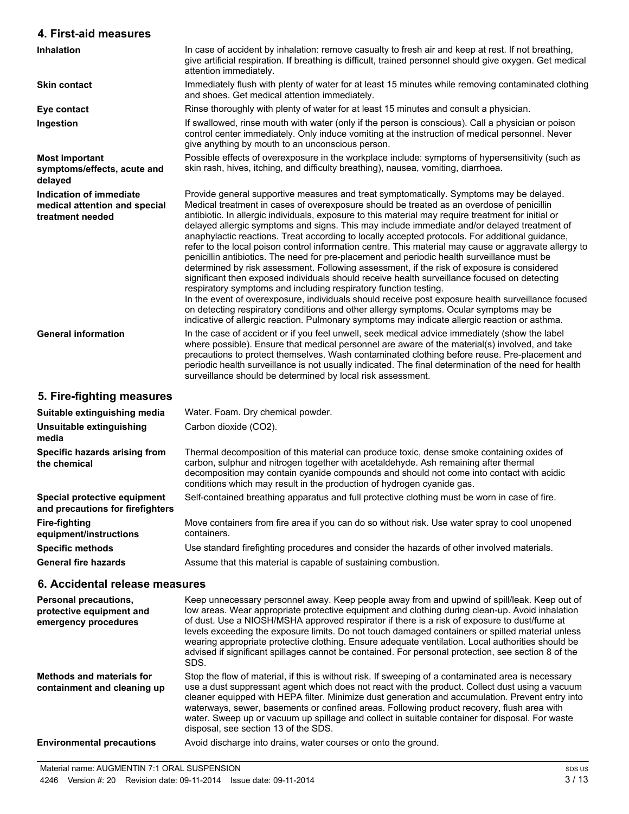### **4. First-aid measures**

| <b>Inhalation</b>                                                            | In case of accident by inhalation: remove casualty to fresh air and keep at rest. If not breathing,<br>give artificial respiration. If breathing is difficult, trained personnel should give oxygen. Get medical<br>attention immediately.                                                                                                                                                                                                                                                                                                                                                                                                                                                                                                                                                                                                                                                                                                                                                                                                                                                                                                                                                                                                                               |
|------------------------------------------------------------------------------|--------------------------------------------------------------------------------------------------------------------------------------------------------------------------------------------------------------------------------------------------------------------------------------------------------------------------------------------------------------------------------------------------------------------------------------------------------------------------------------------------------------------------------------------------------------------------------------------------------------------------------------------------------------------------------------------------------------------------------------------------------------------------------------------------------------------------------------------------------------------------------------------------------------------------------------------------------------------------------------------------------------------------------------------------------------------------------------------------------------------------------------------------------------------------------------------------------------------------------------------------------------------------|
| <b>Skin contact</b>                                                          | Immediately flush with plenty of water for at least 15 minutes while removing contaminated clothing<br>and shoes. Get medical attention immediately.                                                                                                                                                                                                                                                                                                                                                                                                                                                                                                                                                                                                                                                                                                                                                                                                                                                                                                                                                                                                                                                                                                                     |
| Eye contact                                                                  | Rinse thoroughly with plenty of water for at least 15 minutes and consult a physician.                                                                                                                                                                                                                                                                                                                                                                                                                                                                                                                                                                                                                                                                                                                                                                                                                                                                                                                                                                                                                                                                                                                                                                                   |
| Ingestion                                                                    | If swallowed, rinse mouth with water (only if the person is conscious). Call a physician or poison<br>control center immediately. Only induce vomiting at the instruction of medical personnel. Never<br>give anything by mouth to an unconscious person.                                                                                                                                                                                                                                                                                                                                                                                                                                                                                                                                                                                                                                                                                                                                                                                                                                                                                                                                                                                                                |
| <b>Most important</b><br>symptoms/effects, acute and<br>delayed              | Possible effects of overexposure in the workplace include: symptoms of hypersensitivity (such as<br>skin rash, hives, itching, and difficulty breathing), nausea, vomiting, diarrhoea.                                                                                                                                                                                                                                                                                                                                                                                                                                                                                                                                                                                                                                                                                                                                                                                                                                                                                                                                                                                                                                                                                   |
| Indication of immediate<br>medical attention and special<br>treatment needed | Provide general supportive measures and treat symptomatically. Symptoms may be delayed.<br>Medical treatment in cases of overexposure should be treated as an overdose of penicillin<br>antibiotic. In allergic individuals, exposure to this material may require treatment for initial or<br>delayed allergic symptoms and signs. This may include immediate and/or delayed treatment of<br>anaphylactic reactions. Treat according to locally accepted protocols. For additional guidance,<br>refer to the local poison control information centre. This material may cause or aggravate allergy to<br>penicillin antibiotics. The need for pre-placement and periodic health surveillance must be<br>determined by risk assessment. Following assessment, if the risk of exposure is considered<br>significant then exposed individuals should receive health surveillance focused on detecting<br>respiratory symptoms and including respiratory function testing.<br>In the event of overexposure, individuals should receive post exposure health surveillance focused<br>on detecting respiratory conditions and other allergy symptoms. Ocular symptoms may be<br>indicative of allergic reaction. Pulmonary symptoms may indicate allergic reaction or asthma. |
| <b>General information</b>                                                   | In the case of accident or if you feel unwell, seek medical advice immediately (show the label<br>where possible). Ensure that medical personnel are aware of the material(s) involved, and take<br>precautions to protect themselves. Wash contaminated clothing before reuse. Pre-placement and<br>periodic health surveillance is not usually indicated. The final determination of the need for health<br>surveillance should be determined by local risk assessment.                                                                                                                                                                                                                                                                                                                                                                                                                                                                                                                                                                                                                                                                                                                                                                                                |
| 5. Fire-fighting measures                                                    |                                                                                                                                                                                                                                                                                                                                                                                                                                                                                                                                                                                                                                                                                                                                                                                                                                                                                                                                                                                                                                                                                                                                                                                                                                                                          |
| Suitable extinguishing media                                                 | Water. Foam. Dry chemical powder.                                                                                                                                                                                                                                                                                                                                                                                                                                                                                                                                                                                                                                                                                                                                                                                                                                                                                                                                                                                                                                                                                                                                                                                                                                        |
| Unsuitable extinguishing                                                     | Carbon dioxide (CO2).                                                                                                                                                                                                                                                                                                                                                                                                                                                                                                                                                                                                                                                                                                                                                                                                                                                                                                                                                                                                                                                                                                                                                                                                                                                    |
| media                                                                        |                                                                                                                                                                                                                                                                                                                                                                                                                                                                                                                                                                                                                                                                                                                                                                                                                                                                                                                                                                                                                                                                                                                                                                                                                                                                          |

Thermal decomposition of this material can produce toxic, dense smoke containing oxides of carbon, sulphur and nitrogen together with acetaldehyde. Ash remaining after thermal decomposition may contain cyanide compounds and should not come into contact with acidic conditions which may result in the production of hydrogen cyanide gas.

Self-contained breathing apparatus and full protective clothing must be worn in case of fire.

**and precautions for firefighters equipment/instructions** Move containers from fire area if you can do so without risk. Use water spray to cool unopened containers. **Specific methods** Use standard firefighting procedures and consider the hazards of other involved materials.

**General fire hazards** Assume that this material is capable of sustaining combustion.

**the chemical**

**Fire-fighting**

**Specific hazards arising from**

**Special protective equipment**

**6. Accidental release measures**

| <b>Personal precautions,</b><br>protective equipment and<br>emergency procedures | Keep unnecessary personnel away. Keep people away from and upwind of spill/leak. Keep out of<br>low areas. Wear appropriate protective equipment and clothing during clean-up. Avoid inhalation<br>of dust. Use a NIOSH/MSHA approved respirator if there is a risk of exposure to dust/fume at<br>levels exceeding the exposure limits. Do not touch damaged containers or spilled material unless<br>wearing appropriate protective clothing. Ensure adequate ventilation. Local authorities should be<br>advised if significant spillages cannot be contained. For personal protection, see section 8 of the<br>SDS. |
|----------------------------------------------------------------------------------|-------------------------------------------------------------------------------------------------------------------------------------------------------------------------------------------------------------------------------------------------------------------------------------------------------------------------------------------------------------------------------------------------------------------------------------------------------------------------------------------------------------------------------------------------------------------------------------------------------------------------|
| <b>Methods and materials for</b><br>containment and cleaning up                  | Stop the flow of material, if this is without risk. If sweeping of a contaminated area is necessary<br>use a dust suppressant agent which does not react with the product. Collect dust using a vacuum<br>cleaner equipped with HEPA filter. Minimize dust generation and accumulation. Prevent entry into<br>waterways, sewer, basements or confined areas. Following product recovery, flush area with<br>water. Sweep up or vacuum up spillage and collect in suitable container for disposal. For waste<br>disposal, see section 13 of the SDS.                                                                     |
| <b>Environmental precautions</b>                                                 | Avoid discharge into drains, water courses or onto the ground.                                                                                                                                                                                                                                                                                                                                                                                                                                                                                                                                                          |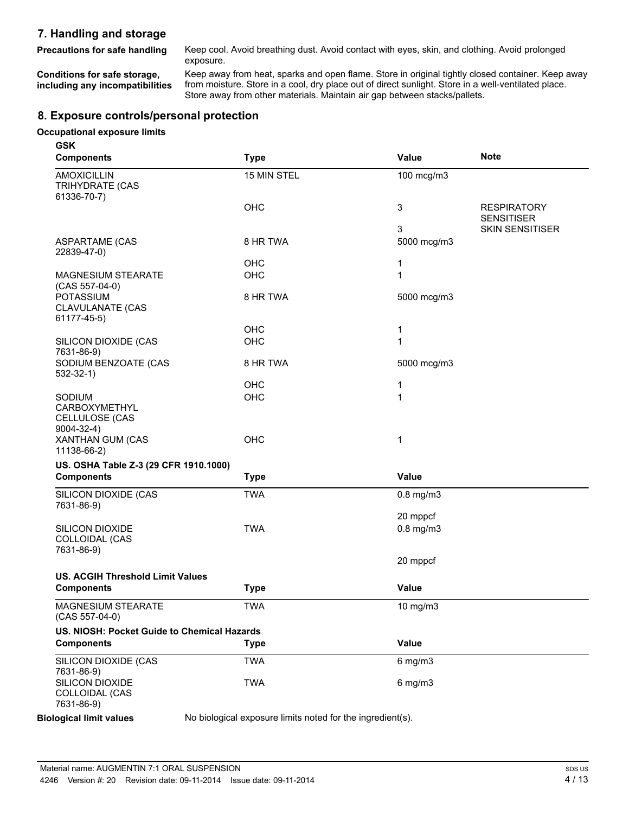# **7. Handling and storage**

Precautions for safe handling Keep cool. Avoid breathing dust. Avoid contact with eyes, skin, and clothing. Avoid prolonged exposure.

**Conditions for safe storage, including any incompatibilities** Keep away from heat, sparks and open flame. Store in original tightly closed container. Keep away from moisture. Store in a cool, dry place out of direct sunlight. Store in a well-ventilated place. Store away from other materials. Maintain air gap between stacks/pallets.

## **8. Exposure controls/personal protection**

#### **Occupational exposure limits**

| <b>GSK</b><br><b>Components</b>                              | <b>Type</b>                                                | Value          | <b>Note</b>                             |
|--------------------------------------------------------------|------------------------------------------------------------|----------------|-----------------------------------------|
| <b>AMOXICILLIN</b><br>TRIHYDRATE (CAS<br>61336-70-7)         | 15 MIN STEL                                                | 100 mcg/m3     |                                         |
|                                                              | OHC                                                        | 3              | <b>RESPIRATORY</b><br><b>SENSITISER</b> |
|                                                              |                                                            | 3              | <b>SKIN SENSITISER</b>                  |
| <b>ASPARTAME (CAS</b><br>22839-47-0)                         | 8 HR TWA                                                   | 5000 mcg/m3    |                                         |
|                                                              | OHC                                                        | 1              |                                         |
| <b>MAGNESIUM STEARATE</b><br>$(CAS 557-04-0)$                | OHC                                                        | 1              |                                         |
| <b>POTASSIUM</b><br>CLAVULANATE (CAS<br>61177-45-5)          | 8 HR TWA                                                   | 5000 mcg/m3    |                                         |
|                                                              | OHC                                                        | 1              |                                         |
| SILICON DIOXIDE (CAS<br>7631-86-9)                           | OHC                                                        | 1              |                                         |
| SODIUM BENZOATE (CAS<br>$532-32-1)$                          | 8 HR TWA                                                   | 5000 mcg/m3    |                                         |
|                                                              | OHC                                                        | 1              |                                         |
| SODIUM<br>CARBOXYMETHYL<br>CELLULOSE (CAS<br>$9004 - 32 - 4$ | OHC                                                        | 1              |                                         |
| XANTHAN GUM (CAS<br>11138-66-2)                              | OHC                                                        | 1              |                                         |
| US. OSHA Table Z-3 (29 CFR 1910.1000)                        |                                                            |                |                                         |
| <b>Components</b>                                            | <b>Type</b>                                                | Value          |                                         |
| SILICON DIOXIDE (CAS<br>7631-86-9)                           | <b>TWA</b>                                                 | $0.8$ mg/m $3$ |                                         |
|                                                              |                                                            | 20 mppcf       |                                         |
| <b>SILICON DIOXIDE</b><br>COLLOIDAL (CAS<br>7631-86-9)       | <b>TWA</b>                                                 | $0.8$ mg/m $3$ |                                         |
|                                                              |                                                            | 20 mppcf       |                                         |
| <b>US. ACGIH Threshold Limit Values</b>                      |                                                            |                |                                         |
| <b>Components</b>                                            | <b>Type</b>                                                | Value          |                                         |
| MAGNESIUM STEARATE<br>$(CAS 557-04-0)$                       | <b>TWA</b>                                                 | 10 mg/m3       |                                         |
| US. NIOSH: Pocket Guide to Chemical Hazards                  |                                                            |                |                                         |
| <b>Components</b>                                            | <b>Type</b>                                                | Value          |                                         |
| SILICON DIOXIDE (CAS<br>7631-86-9)                           | <b>TWA</b>                                                 | $6$ mg/m $3$   |                                         |
| SILICON DIOXIDE<br>COLLOIDAL (CAS<br>7631-86-9)              | <b>TWA</b>                                                 | $6$ mg/m $3$   |                                         |
| <b>Biological limit values</b>                               | No biological exposure limits noted for the ingredient(s). |                |                                         |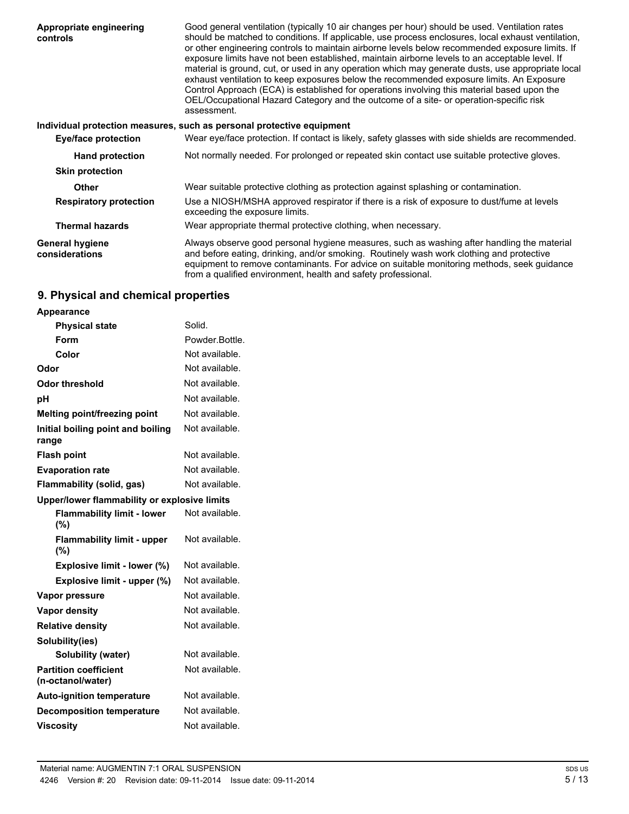| Appropriate engineering<br>controls      | Good general ventilation (typically 10 air changes per hour) should be used. Ventilation rates<br>should be matched to conditions. If applicable, use process enclosures, local exhaust ventilation,<br>or other engineering controls to maintain airborne levels below recommended exposure limits. If<br>exposure limits have not been established, maintain airborne levels to an acceptable level. If<br>material is ground, cut, or used in any operation which may generate dusts, use appropriate local<br>exhaust ventilation to keep exposures below the recommended exposure limits. An Exposure<br>Control Approach (ECA) is established for operations involving this material based upon the<br>OEL/Occupational Hazard Category and the outcome of a site- or operation-specific risk<br>assessment. |  |  |
|------------------------------------------|--------------------------------------------------------------------------------------------------------------------------------------------------------------------------------------------------------------------------------------------------------------------------------------------------------------------------------------------------------------------------------------------------------------------------------------------------------------------------------------------------------------------------------------------------------------------------------------------------------------------------------------------------------------------------------------------------------------------------------------------------------------------------------------------------------------------|--|--|
|                                          | Individual protection measures, such as personal protective equipment                                                                                                                                                                                                                                                                                                                                                                                                                                                                                                                                                                                                                                                                                                                                              |  |  |
| <b>Eye/face protection</b>               | Wear eye/face protection. If contact is likely, safety glasses with side shields are recommended.                                                                                                                                                                                                                                                                                                                                                                                                                                                                                                                                                                                                                                                                                                                  |  |  |
| <b>Hand protection</b>                   | Not normally needed. For prolonged or repeated skin contact use suitable protective gloves.                                                                                                                                                                                                                                                                                                                                                                                                                                                                                                                                                                                                                                                                                                                        |  |  |
| <b>Skin protection</b>                   |                                                                                                                                                                                                                                                                                                                                                                                                                                                                                                                                                                                                                                                                                                                                                                                                                    |  |  |
| <b>Other</b>                             | Wear suitable protective clothing as protection against splashing or contamination.                                                                                                                                                                                                                                                                                                                                                                                                                                                                                                                                                                                                                                                                                                                                |  |  |
| <b>Respiratory protection</b>            | Use a NIOSH/MSHA approved respirator if there is a risk of exposure to dust/fume at levels<br>exceeding the exposure limits.                                                                                                                                                                                                                                                                                                                                                                                                                                                                                                                                                                                                                                                                                       |  |  |
| <b>Thermal hazards</b>                   | Wear appropriate thermal protective clothing, when necessary.                                                                                                                                                                                                                                                                                                                                                                                                                                                                                                                                                                                                                                                                                                                                                      |  |  |
| <b>General hygiene</b><br>considerations | Always observe good personal hygiene measures, such as washing after handling the material<br>and before eating, drinking, and/or smoking. Routinely wash work clothing and protective<br>equipment to remove contaminants. For advice on suitable monitoring methods, seek guidance<br>from a qualified environment, health and safety professional.                                                                                                                                                                                                                                                                                                                                                                                                                                                              |  |  |

# **9. Physical and chemical properties**

| <b>Appearance</b>                                 |                |  |
|---------------------------------------------------|----------------|--|
| <b>Physical state</b>                             | Solid.         |  |
| Form                                              | Powder.Bottle. |  |
| Color                                             | Not available. |  |
| Odor                                              | Not available. |  |
| <b>Odor threshold</b>                             | Not available. |  |
| рH                                                | Not available. |  |
| Melting point/freezing point                      | Not available. |  |
| Initial boiling point and boiling<br>range        | Not available. |  |
| <b>Flash point</b>                                | Not available. |  |
| <b>Evaporation rate</b>                           | Not available. |  |
| <b>Flammability (solid, gas)</b>                  | Not available. |  |
| Upper/lower flammability or explosive limits      |                |  |
| <b>Flammability limit - lower</b><br>(%)          | Not available. |  |
| <b>Flammability limit - upper</b><br>$(\%)$       | Not available. |  |
| Explosive limit - lower (%)                       | Not available. |  |
| Explosive limit - upper (%)                       | Not available. |  |
| Vapor pressure                                    | Not available. |  |
| <b>Vapor density</b>                              | Not available. |  |
| <b>Relative density</b>                           | Not available. |  |
| Solubility(ies)                                   |                |  |
| <b>Solubility (water)</b>                         | Not available. |  |
| <b>Partition coefficient</b><br>(n-octanol/water) | Not available. |  |
| <b>Auto-ignition temperature</b>                  | Not available. |  |
| <b>Decomposition temperature</b>                  | Not available. |  |
| <b>Viscosity</b>                                  | Not available. |  |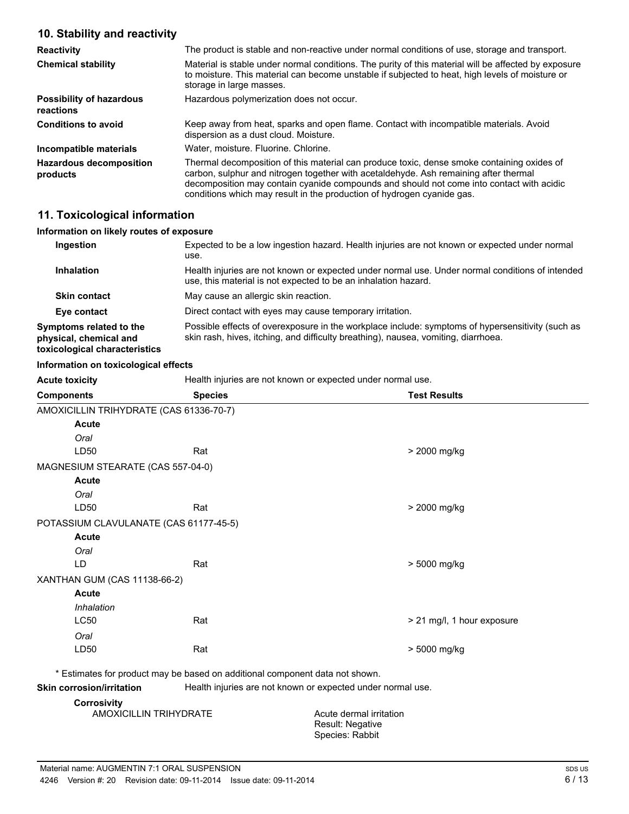### **10. Stability and reactivity**

| <b>Reactivity</b>                            | The product is stable and non-reactive under normal conditions of use, storage and transport.                                                                                                                                                                                                                                                            |
|----------------------------------------------|----------------------------------------------------------------------------------------------------------------------------------------------------------------------------------------------------------------------------------------------------------------------------------------------------------------------------------------------------------|
| <b>Chemical stability</b>                    | Material is stable under normal conditions. The purity of this material will be affected by exposure<br>to moisture. This material can become unstable if subjected to heat, high levels of moisture or<br>storage in large masses.                                                                                                                      |
| <b>Possibility of hazardous</b><br>reactions | Hazardous polymerization does not occur.                                                                                                                                                                                                                                                                                                                 |
| <b>Conditions to avoid</b>                   | Keep away from heat, sparks and open flame. Contact with incompatible materials. Avoid<br>dispersion as a dust cloud. Moisture.                                                                                                                                                                                                                          |
| Incompatible materials                       | Water, moisture, Fluorine, Chlorine,                                                                                                                                                                                                                                                                                                                     |
| <b>Hazardous decomposition</b><br>products   | Thermal decomposition of this material can produce toxic, dense smoke containing oxides of<br>carbon, sulphur and nitrogen together with acetaldehyde. Ash remaining after thermal<br>decomposition may contain cyanide compounds and should not come into contact with acidic<br>conditions which may result in the production of hydrogen cyanide gas. |

### **11. Toxicological information**

### **Information on likely routes of exposure**

| Ingestion                                                                          | Expected to be a low ingestion hazard. Health injuries are not known or expected under normal<br>use.                                                                                  |
|------------------------------------------------------------------------------------|----------------------------------------------------------------------------------------------------------------------------------------------------------------------------------------|
| <b>Inhalation</b>                                                                  | Health injuries are not known or expected under normal use. Under normal conditions of intended<br>use, this material is not expected to be an inhalation hazard.                      |
| <b>Skin contact</b>                                                                | May cause an allergic skin reaction.                                                                                                                                                   |
| Eye contact                                                                        | Direct contact with eyes may cause temporary irritation.                                                                                                                               |
| Symptoms related to the<br>physical, chemical and<br>toxicological characteristics | Possible effects of overexposure in the workplace include: symptoms of hypersensitivity (such as<br>skin rash, hives, itching, and difficulty breathing), nausea, vomiting, diarrhoea. |

### **Information on toxicological effects**

| <b>Acute toxicity</b>                               | Health injuries are not known or expected under normal use. |                                                                              |
|-----------------------------------------------------|-------------------------------------------------------------|------------------------------------------------------------------------------|
| <b>Components</b>                                   | <b>Species</b>                                              | <b>Test Results</b>                                                          |
| AMOXICILLIN TRIHYDRATE (CAS 61336-70-7)             |                                                             |                                                                              |
| Acute                                               |                                                             |                                                                              |
| Oral                                                |                                                             |                                                                              |
| LD50                                                | Rat                                                         | > 2000 mg/kg                                                                 |
| MAGNESIUM STEARATE (CAS 557-04-0)                   |                                                             |                                                                              |
| Acute                                               |                                                             |                                                                              |
| Oral                                                |                                                             |                                                                              |
| LD50                                                | Rat                                                         | > 2000 mg/kg                                                                 |
| POTASSIUM CLAVULANATE (CAS 61177-45-5)              |                                                             |                                                                              |
| Acute                                               |                                                             |                                                                              |
| Oral                                                |                                                             |                                                                              |
| LD.                                                 | Rat                                                         | > 5000 mg/kg                                                                 |
| XANTHAN GUM (CAS 11138-66-2)                        |                                                             |                                                                              |
| <b>Acute</b>                                        |                                                             |                                                                              |
| Inhalation                                          |                                                             |                                                                              |
| <b>LC50</b>                                         | Rat                                                         | > 21 mg/l, 1 hour exposure                                                   |
| Oral                                                |                                                             |                                                                              |
| LD50                                                | Rat                                                         | > 5000 mg/kg                                                                 |
|                                                     |                                                             | * Estimates for product may be based on additional component data not shown. |
| <b>Skin corrosion/irritation</b>                    |                                                             | Health injuries are not known or expected under normal use.                  |
| <b>Corrosivity</b><br><b>AMOXICILLIN TRIHYDRATE</b> |                                                             | Acute dermal irritation                                                      |

Result: Negative Species: Rabbit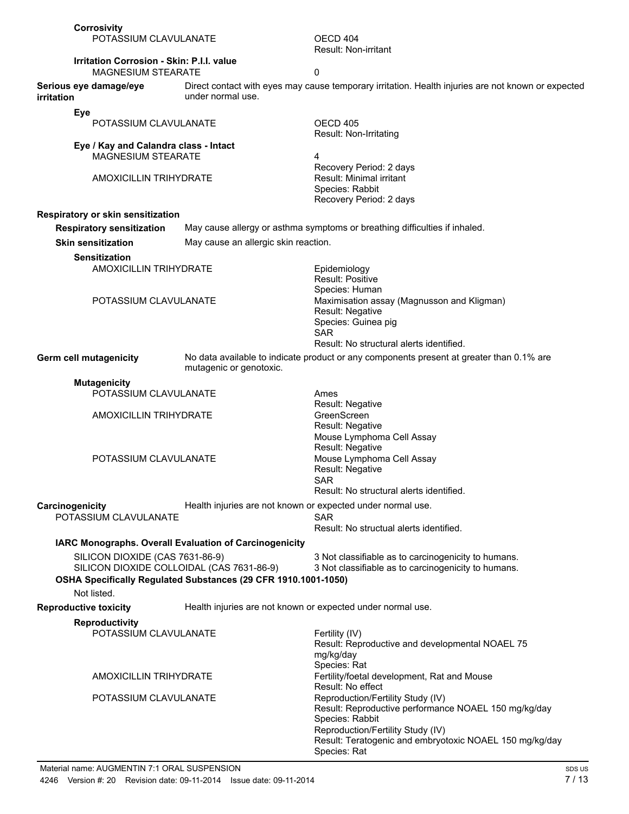| Corrosivity<br>POTASSIUM CLAVULANATE                                          |                                                                | OECD 404<br><b>Result: Non-irritant</b>                                                                                                                                                                                      |
|-------------------------------------------------------------------------------|----------------------------------------------------------------|------------------------------------------------------------------------------------------------------------------------------------------------------------------------------------------------------------------------------|
| <b>Irritation Corrosion - Skin: P.I.I. value</b><br><b>MAGNESIUM STEARATE</b> |                                                                | 0                                                                                                                                                                                                                            |
| Serious eye damage/eye<br><i>irritation</i>                                   | under normal use.                                              | Direct contact with eyes may cause temporary irritation. Health injuries are not known or expected                                                                                                                           |
| Eye                                                                           |                                                                |                                                                                                                                                                                                                              |
| POTASSIUM CLAVULANATE                                                         |                                                                | OECD 405<br>Result: Non-Irritating                                                                                                                                                                                           |
| Eye / Kay and Calandra class - Intact<br>MAGNESIUM STEARATE                   |                                                                | 4<br>Recovery Period: 2 days                                                                                                                                                                                                 |
| <b>AMOXICILLIN TRIHYDRATE</b>                                                 |                                                                | Result: Minimal irritant<br>Species: Rabbit<br>Recovery Period: 2 days                                                                                                                                                       |
| Respiratory or skin sensitization                                             |                                                                |                                                                                                                                                                                                                              |
| <b>Respiratory sensitization</b>                                              |                                                                | May cause allergy or asthma symptoms or breathing difficulties if inhaled.                                                                                                                                                   |
| <b>Skin sensitization</b>                                                     | May cause an allergic skin reaction.                           |                                                                                                                                                                                                                              |
| <b>Sensitization</b>                                                          |                                                                |                                                                                                                                                                                                                              |
| <b>AMOXICILLIN TRIHYDRATE</b>                                                 |                                                                | Epidemiology<br>Result: Positive<br>Species: Human                                                                                                                                                                           |
| POTASSIUM CLAVULANATE                                                         |                                                                | Maximisation assay (Magnusson and Kligman)<br>Result: Negative<br>Species: Guinea pig<br><b>SAR</b><br>Result: No structural alerts identified.                                                                              |
| Germ cell mutagenicity                                                        | mutagenic or genotoxic.                                        | No data available to indicate product or any components present at greater than 0.1% are                                                                                                                                     |
| <b>Mutagenicity</b>                                                           |                                                                |                                                                                                                                                                                                                              |
| POTASSIUM CLAVULANATE                                                         |                                                                | Ames<br><b>Result: Negative</b>                                                                                                                                                                                              |
| AMOXICILLIN TRIHYDRATE                                                        |                                                                | GreenScreen<br>Result: Negative<br>Mouse Lymphoma Cell Assay<br>Result: Negative                                                                                                                                             |
| POTASSIUM CLAVULANATE                                                         |                                                                | Mouse Lymphoma Cell Assay<br>Result: Negative<br><b>SAR</b><br>Result: No structural alerts identified.                                                                                                                      |
| Carcinogenicity                                                               | Health injuries are not known or expected under normal use.    |                                                                                                                                                                                                                              |
| POTASSIUM CLAVULANATE                                                         |                                                                | <b>SAR</b><br>Result: No structual alerts identified.                                                                                                                                                                        |
|                                                                               | IARC Monographs. Overall Evaluation of Carcinogenicity         |                                                                                                                                                                                                                              |
| SILICON DIOXIDE (CAS 7631-86-9)<br>SILICON DIOXIDE COLLOIDAL (CAS 7631-86-9)  | OSHA Specifically Regulated Substances (29 CFR 1910.1001-1050) | 3 Not classifiable as to carcinogenicity to humans.<br>3 Not classifiable as to carcinogenicity to humans.                                                                                                                   |
| Not listed.                                                                   |                                                                |                                                                                                                                                                                                                              |
| <b>Reproductive toxicity</b>                                                  | Health injuries are not known or expected under normal use.    |                                                                                                                                                                                                                              |
| <b>Reproductivity</b><br>POTASSIUM CLAVULANATE                                |                                                                | Fertility (IV)<br>Result: Reproductive and developmental NOAEL 75<br>mg/kg/day                                                                                                                                               |
| <b>AMOXICILLIN TRIHYDRATE</b>                                                 |                                                                | Species: Rat<br>Fertility/foetal development, Rat and Mouse<br>Result: No effect                                                                                                                                             |
| POTASSIUM CLAVULANATE                                                         |                                                                | Reproduction/Fertility Study (IV)<br>Result: Reproductive performance NOAEL 150 mg/kg/day<br>Species: Rabbit<br>Reproduction/Fertility Study (IV)<br>Result: Teratogenic and embryotoxic NOAEL 150 mg/kg/day<br>Species: Rat |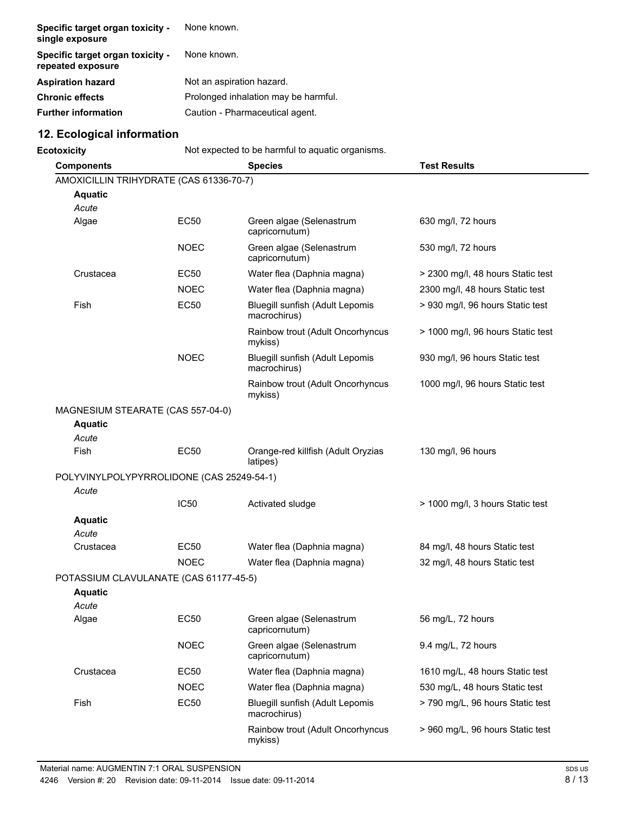| Specific target organ toxicity -<br>single exposure   | None known.                          |
|-------------------------------------------------------|--------------------------------------|
| Specific target organ toxicity -<br>repeated exposure | None known.                          |
| <b>Aspiration hazard</b>                              | Not an aspiration hazard.            |
| <b>Chronic effects</b>                                | Prolonged inhalation may be harmful. |
| <b>Further information</b>                            | Caution - Pharmaceutical agent.      |

# **12. Ecological information**

| <b>Ecotoxicity</b>                        |             | Not expected to be harmful to aquatic organisms. |                                   |  |
|-------------------------------------------|-------------|--------------------------------------------------|-----------------------------------|--|
| <b>Components</b>                         |             | <b>Species</b>                                   | <b>Test Results</b>               |  |
| AMOXICILLIN TRIHYDRATE (CAS 61336-70-7)   |             |                                                  |                                   |  |
| <b>Aquatic</b>                            |             |                                                  |                                   |  |
| Acute                                     |             |                                                  |                                   |  |
| Algae                                     | <b>EC50</b> | Green algae (Selenastrum<br>capricornutum)       | 630 mg/l, 72 hours                |  |
|                                           | <b>NOEC</b> | Green algae (Selenastrum<br>capricornutum)       | 530 mg/l, 72 hours                |  |
| Crustacea                                 | <b>EC50</b> | Water flea (Daphnia magna)                       | > 2300 mg/l, 48 hours Static test |  |
|                                           | <b>NOEC</b> | Water flea (Daphnia magna)                       | 2300 mg/l, 48 hours Static test   |  |
| Fish                                      | <b>EC50</b> | Bluegill sunfish (Adult Lepomis<br>macrochirus)  | > 930 mg/l, 96 hours Static test  |  |
|                                           |             | Rainbow trout (Adult Oncorhyncus<br>mykiss)      | > 1000 mg/l, 96 hours Static test |  |
|                                           | <b>NOEC</b> | Bluegill sunfish (Adult Lepomis<br>macrochirus)  | 930 mg/l, 96 hours Static test    |  |
|                                           |             | Rainbow trout (Adult Oncorhyncus<br>mykiss)      | 1000 mg/l, 96 hours Static test   |  |
| MAGNESIUM STEARATE (CAS 557-04-0)         |             |                                                  |                                   |  |
| <b>Aquatic</b>                            |             |                                                  |                                   |  |
| Acute                                     |             |                                                  |                                   |  |
| Fish                                      | <b>EC50</b> | Orange-red killfish (Adult Oryzias<br>latipes)   | 130 mg/l, 96 hours                |  |
| POLYVINYLPOLYPYRROLIDONE (CAS 25249-54-1) |             |                                                  |                                   |  |
| Acute                                     |             |                                                  |                                   |  |
|                                           | <b>IC50</b> | Activated sludge                                 | > 1000 mg/l, 3 hours Static test  |  |
| <b>Aquatic</b>                            |             |                                                  |                                   |  |
| Acute                                     |             |                                                  |                                   |  |
| Crustacea                                 | <b>EC50</b> | Water flea (Daphnia magna)                       | 84 mg/l, 48 hours Static test     |  |
|                                           | <b>NOEC</b> | Water flea (Daphnia magna)                       | 32 mg/l, 48 hours Static test     |  |
| POTASSIUM CLAVULANATE (CAS 61177-45-5)    |             |                                                  |                                   |  |
| <b>Aquatic</b>                            |             |                                                  |                                   |  |
| Acute                                     |             |                                                  |                                   |  |
| Algae                                     | <b>EC50</b> | Green algae (Selenastrum<br>capricornutum)       | 56 mg/L, 72 hours                 |  |
|                                           | <b>NOEC</b> | Green algae (Selenastrum<br>capricornutum)       | 9.4 mg/L, 72 hours                |  |
| Crustacea                                 | EC50        | Water flea (Daphnia magna)                       | 1610 mg/L, 48 hours Static test   |  |
|                                           | <b>NOEC</b> | Water flea (Daphnia magna)                       | 530 mg/L, 48 hours Static test    |  |
| Fish                                      | <b>EC50</b> | Bluegill sunfish (Adult Lepomis<br>macrochirus)  | > 790 mg/L, 96 hours Static test  |  |
|                                           |             | Rainbow trout (Adult Oncorhyncus<br>mykiss)      | > 960 mg/L, 96 hours Static test  |  |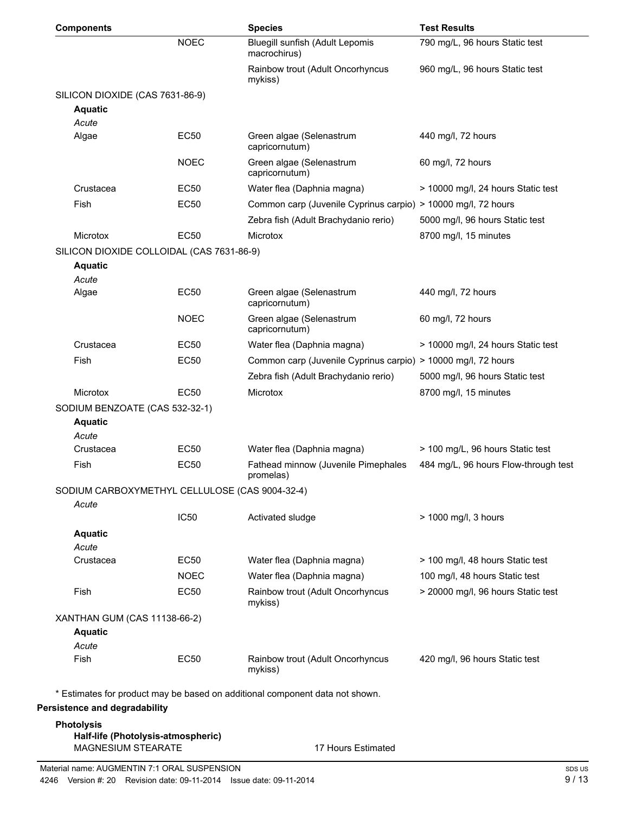| <b>Components</b>                                        |             | <b>Species</b>                                                               | <b>Test Results</b>                  |
|----------------------------------------------------------|-------------|------------------------------------------------------------------------------|--------------------------------------|
|                                                          | <b>NOEC</b> | Bluegill sunfish (Adult Lepomis<br>macrochirus)                              | 790 mg/L, 96 hours Static test       |
|                                                          |             | Rainbow trout (Adult Oncorhyncus<br>mykiss)                                  | 960 mg/L, 96 hours Static test       |
| SILICON DIOXIDE (CAS 7631-86-9)                          |             |                                                                              |                                      |
| <b>Aquatic</b>                                           |             |                                                                              |                                      |
| Acute                                                    |             |                                                                              |                                      |
| Algae                                                    | <b>EC50</b> | Green algae (Selenastrum<br>capricornutum)                                   | 440 mg/l, 72 hours                   |
|                                                          | <b>NOEC</b> | Green algae (Selenastrum<br>capricornutum)                                   | 60 mg/l, 72 hours                    |
| Crustacea                                                | <b>EC50</b> | Water flea (Daphnia magna)                                                   | > 10000 mg/l, 24 hours Static test   |
| Fish                                                     | <b>EC50</b> | Common carp (Juvenile Cyprinus carpio) > 10000 mg/l, 72 hours                |                                      |
|                                                          |             | Zebra fish (Adult Brachydanio rerio)                                         | 5000 mg/l, 96 hours Static test      |
| Microtox                                                 | <b>EC50</b> | Microtox                                                                     | 8700 mg/l, 15 minutes                |
| SILICON DIOXIDE COLLOIDAL (CAS 7631-86-9)                |             |                                                                              |                                      |
| <b>Aquatic</b><br>Acute                                  |             |                                                                              |                                      |
| Algae                                                    | <b>EC50</b> | Green algae (Selenastrum<br>capricornutum)                                   | 440 mg/l, 72 hours                   |
|                                                          | <b>NOEC</b> | Green algae (Selenastrum<br>capricornutum)                                   | 60 mg/l, 72 hours                    |
| Crustacea                                                | EC50        | Water flea (Daphnia magna)                                                   | > 10000 mg/l, 24 hours Static test   |
| Fish                                                     | <b>EC50</b> | Common carp (Juvenile Cyprinus carpio) > 10000 mg/l, 72 hours                |                                      |
|                                                          |             | Zebra fish (Adult Brachydanio rerio)                                         | 5000 mg/l, 96 hours Static test      |
| Microtox                                                 | <b>EC50</b> | Microtox                                                                     | 8700 mg/l, 15 minutes                |
| SODIUM BENZOATE (CAS 532-32-1)                           |             |                                                                              |                                      |
| <b>Aquatic</b>                                           |             |                                                                              |                                      |
| Acute                                                    |             |                                                                              |                                      |
| Crustacea                                                | EC50        | Water flea (Daphnia magna)                                                   | > 100 mg/L, 96 hours Static test     |
| Fish                                                     | <b>EC50</b> | Fathead minnow (Juvenile Pimephales<br>promelas)                             | 484 mg/L, 96 hours Flow-through test |
| SODIUM CARBOXYMETHYL CELLULOSE (CAS 9004-32-4)<br>Acute  |             |                                                                              |                                      |
|                                                          | <b>IC50</b> | Activated sludge                                                             | > 1000 mg/l, 3 hours                 |
| <b>Aquatic</b>                                           |             |                                                                              |                                      |
| Acute                                                    |             |                                                                              |                                      |
| Crustacea                                                | <b>EC50</b> | Water flea (Daphnia magna)                                                   | > 100 mg/l, 48 hours Static test     |
|                                                          | <b>NOEC</b> | Water flea (Daphnia magna)                                                   | 100 mg/l, 48 hours Static test       |
| Fish                                                     | <b>EC50</b> | Rainbow trout (Adult Oncorhyncus<br>mykiss)                                  | > 20000 mg/l, 96 hours Static test   |
| XANTHAN GUM (CAS 11138-66-2)                             |             |                                                                              |                                      |
| <b>Aquatic</b>                                           |             |                                                                              |                                      |
| Acute                                                    |             |                                                                              |                                      |
| Fish                                                     | <b>EC50</b> | Rainbow trout (Adult Oncorhyncus<br>mykiss)                                  | 420 mg/l, 96 hours Static test       |
|                                                          |             | * Estimates for product may be based on additional component data not shown. |                                      |
| Persistence and degradability                            |             |                                                                              |                                      |
| <b>Photolysis</b>                                        |             |                                                                              |                                      |
| Half-life (Photolysis-atmospheric)<br>MAGNESIUM STEARATE |             | 17 Hours Estimated                                                           |                                      |
|                                                          |             |                                                                              |                                      |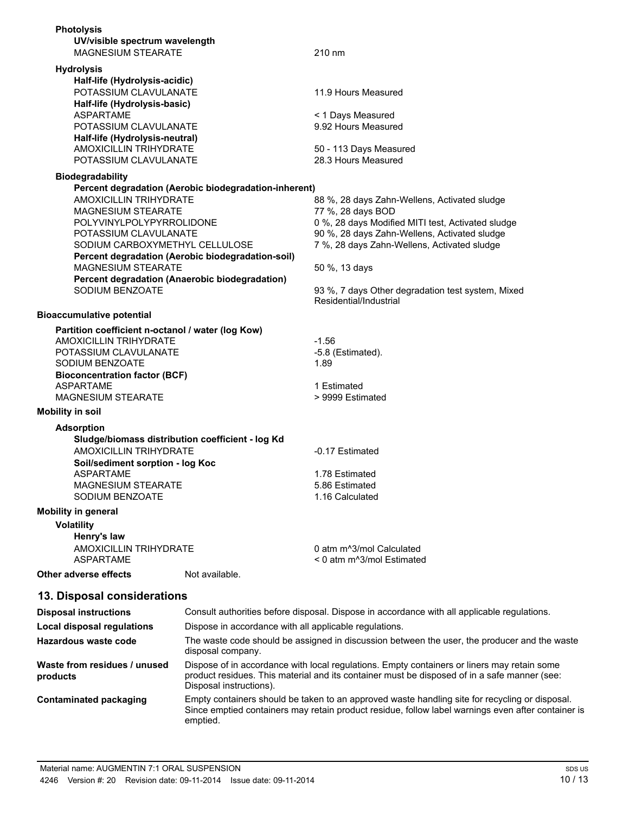| <b>Photolysis</b>                                           |                                                                             |
|-------------------------------------------------------------|-----------------------------------------------------------------------------|
| UV/visible spectrum wavelength<br><b>MAGNESIUM STEARATE</b> | 210 nm                                                                      |
|                                                             |                                                                             |
| <b>Hydrolysis</b><br>Half-life (Hydrolysis-acidic)          |                                                                             |
| POTASSIUM CLAVULANATE                                       | 11.9 Hours Measured                                                         |
|                                                             |                                                                             |
| Half-life (Hydrolysis-basic)<br><b>ASPARTAME</b>            | < 1 Days Measured                                                           |
| POTASSIUM CLAVULANATE                                       | 9.92 Hours Measured                                                         |
| Half-life (Hydrolysis-neutral)                              |                                                                             |
| <b>AMOXICILLIN TRIHYDRATE</b>                               | 50 - 113 Days Measured                                                      |
| POTASSIUM CLAVULANATE                                       | 28.3 Hours Measured                                                         |
| <b>Biodegradability</b>                                     |                                                                             |
| Percent degradation (Aerobic biodegradation-inherent)       |                                                                             |
| <b>AMOXICILLIN TRIHYDRATE</b>                               | 88 %, 28 days Zahn-Wellens, Activated sludge                                |
| MAGNESIUM STEARATE                                          | 77 %, 28 days BOD                                                           |
| POLYVINYLPOLYPYRROLIDONE                                    | 0 %, 28 days Modified MITI test, Activated sludge                           |
| POTASSIUM CLAVULANATE                                       | 90 %, 28 days Zahn-Wellens, Activated sludge                                |
| SODIUM CARBOXYMETHYL CELLULOSE                              | 7 %, 28 days Zahn-Wellens, Activated sludge                                 |
| Percent degradation (Aerobic biodegradation-soil)           |                                                                             |
| <b>MAGNESIUM STEARATE</b>                                   | 50 %, 13 days                                                               |
| Percent degradation (Anaerobic biodegradation)              |                                                                             |
| SODIUM BENZOATE                                             | 93 %, 7 days Other degradation test system, Mixed<br>Residential/Industrial |
| <b>Bioaccumulative potential</b>                            |                                                                             |
| Partition coefficient n-octanol / water (log Kow)           |                                                                             |
| <b>AMOXICILLIN TRIHYDRATE</b>                               | $-1.56$                                                                     |
| POTASSIUM CLAVULANATE                                       | $-5.8$ (Estimated).                                                         |
| SODIUM BENZOATE                                             | 1.89                                                                        |
| <b>Bioconcentration factor (BCF)</b>                        |                                                                             |
| ASPARTAME                                                   | 1 Estimated                                                                 |
| <b>MAGNESIUM STEARATE</b>                                   | > 9999 Estimated                                                            |
| <b>Mobility in soil</b>                                     |                                                                             |
| <b>Adsorption</b>                                           |                                                                             |
| Sludge/biomass distribution coefficient - log Kd            |                                                                             |
| <b>AMOXICILLIN TRIHYDRATE</b>                               | -0.17 Estimated                                                             |
| Soil/sediment sorption - log Koc                            |                                                                             |
| <b>ASPARTAME</b>                                            | 1.78 Estimated                                                              |
| <b>MAGNESIUM STEARATE</b>                                   | 5.86 Estimated                                                              |
| SODIUM BENZOATE                                             | 1.16 Calculated                                                             |
| <b>Mobility in general</b>                                  |                                                                             |
| <b>Volatility</b>                                           |                                                                             |
| Henry's law                                                 |                                                                             |
| <b>AMOXICILLIN TRIHYDRATE</b>                               | 0 atm m <sup>^3</sup> /mol Calculated                                       |
| <b>ASPARTAME</b>                                            | < 0 atm m^3/mol Estimated                                                   |
| Not available.<br>Other adverse effects                     |                                                                             |
| 13. Disposal considerations                                 |                                                                             |

| <b>Disposal instructions</b>             | Consult authorities before disposal. Dispose in accordance with all applicable regulations.                                                                                                                            |
|------------------------------------------|------------------------------------------------------------------------------------------------------------------------------------------------------------------------------------------------------------------------|
| Local disposal regulations               | Dispose in accordance with all applicable regulations.                                                                                                                                                                 |
| Hazardous waste code                     | The waste code should be assigned in discussion between the user, the producer and the waste<br>disposal company.                                                                                                      |
| Waste from residues / unused<br>products | Dispose of in accordance with local regulations. Empty containers or liners may retain some<br>product residues. This material and its container must be disposed of in a safe manner (see:<br>Disposal instructions). |
| Contaminated packaging                   | Empty containers should be taken to an approved waste handling site for recycling or disposal.<br>Since emptied containers may retain product residue, follow label warnings even after container is<br>emptied.       |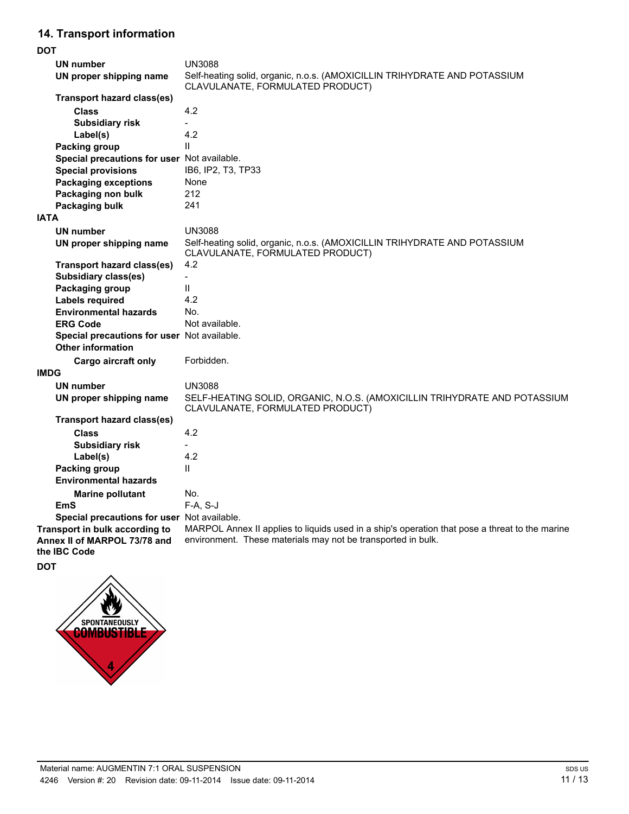# **14. Transport information**

| <b>DOT</b>                                                                     |                                                                                                                                                                |
|--------------------------------------------------------------------------------|----------------------------------------------------------------------------------------------------------------------------------------------------------------|
| <b>UN number</b>                                                               | <b>UN3088</b>                                                                                                                                                  |
| UN proper shipping name                                                        | Self-heating solid, organic, n.o.s. (AMOXICILLIN TRIHYDRATE AND POTASSIUM<br>CLAVULANATE, FORMULATED PRODUCT)                                                  |
| <b>Transport hazard class(es)</b>                                              |                                                                                                                                                                |
| <b>Class</b>                                                                   | 4.2                                                                                                                                                            |
| <b>Subsidiary risk</b>                                                         |                                                                                                                                                                |
| Label(s)                                                                       | 4.2                                                                                                                                                            |
| <b>Packing group</b>                                                           | $\mathbf{H}$                                                                                                                                                   |
| Special precautions for user Not available.                                    |                                                                                                                                                                |
| <b>Special provisions</b>                                                      | IB6, IP2, T3, TP33                                                                                                                                             |
| <b>Packaging exceptions</b>                                                    | None                                                                                                                                                           |
| Packaging non bulk                                                             | 212                                                                                                                                                            |
| Packaging bulk                                                                 | 241                                                                                                                                                            |
| <b>IATA</b>                                                                    |                                                                                                                                                                |
| <b>UN number</b>                                                               | <b>UN3088</b>                                                                                                                                                  |
| UN proper shipping name                                                        | Self-heating solid, organic, n.o.s. (AMOXICILLIN TRIHYDRATE AND POTASSIUM<br>CLAVULANATE, FORMULATED PRODUCT)                                                  |
| Transport hazard class(es)                                                     | 4.2                                                                                                                                                            |
| <b>Subsidiary class(es)</b>                                                    | $\overline{\phantom{a}}$                                                                                                                                       |
| Packaging group                                                                | $\mathbf{H}$                                                                                                                                                   |
| <b>Labels required</b>                                                         | 4.2                                                                                                                                                            |
| <b>Environmental hazards</b>                                                   | No.                                                                                                                                                            |
| <b>ERG Code</b>                                                                | Not available.                                                                                                                                                 |
| Special precautions for user Not available.                                    |                                                                                                                                                                |
| <b>Other information</b>                                                       |                                                                                                                                                                |
| Cargo aircraft only                                                            | Forbidden.                                                                                                                                                     |
| <b>IMDG</b>                                                                    |                                                                                                                                                                |
| <b>UN number</b>                                                               | <b>UN3088</b>                                                                                                                                                  |
| UN proper shipping name                                                        | SELF-HEATING SOLID, ORGANIC, N.O.S. (AMOXICILLIN TRIHYDRATE AND POTASSIUM<br>CLAVULANATE, FORMULATED PRODUCT)                                                  |
| <b>Transport hazard class(es)</b>                                              |                                                                                                                                                                |
| Class                                                                          | 4.2                                                                                                                                                            |
| <b>Subsidiary risk</b>                                                         |                                                                                                                                                                |
| Label(s)                                                                       | 4.2                                                                                                                                                            |
| <b>Packing group</b>                                                           | $\mathbf{H}$                                                                                                                                                   |
| <b>Environmental hazards</b>                                                   |                                                                                                                                                                |
| <b>Marine pollutant</b>                                                        | No.                                                                                                                                                            |
| EmS                                                                            | $F-A, S-J$                                                                                                                                                     |
| Special precautions for user Not available.                                    |                                                                                                                                                                |
| Transport in bulk according to<br>Annex II of MARPOL 73/78 and<br>the IBC Code | MARPOL Annex II applies to liquids used in a ship's operation that pose a threat to the marine<br>environment. These materials may not be transported in bulk. |
| DOT                                                                            |                                                                                                                                                                |

 $\mathbf{v}$ SPONTANEOUSLY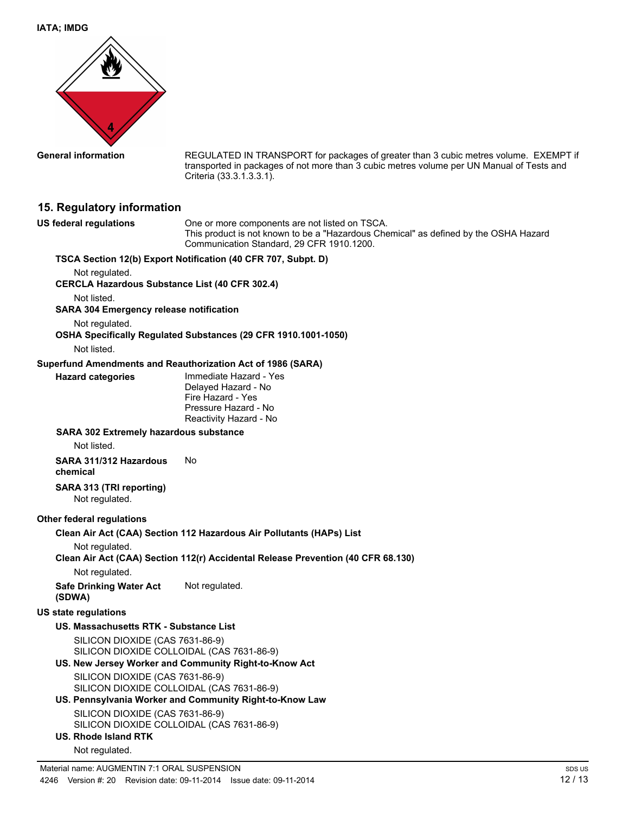

**General information** REGULATED IN TRANSPORT for packages of greater than 3 cubic metres volume. EXEMPT if transported in packages of not more than 3 cubic metres volume per UN Manual of Tests and Criteria (33.3.1.3.3.1).

# **15. Regulatory information**

| <b>US federal regulations</b>                                                | One or more components are not listed on TSCA.<br>This product is not known to be a "Hazardous Chemical" as defined by the OSHA Hazard<br>Communication Standard, 29 CFR 1910.1200. |
|------------------------------------------------------------------------------|-------------------------------------------------------------------------------------------------------------------------------------------------------------------------------------|
|                                                                              | TSCA Section 12(b) Export Notification (40 CFR 707, Subpt. D)                                                                                                                       |
| Not regulated.<br><b>CERCLA Hazardous Substance List (40 CFR 302.4)</b>      |                                                                                                                                                                                     |
| Not listed.                                                                  |                                                                                                                                                                                     |
| <b>SARA 304 Emergency release notification</b>                               |                                                                                                                                                                                     |
| Not regulated.                                                               | OSHA Specifically Regulated Substances (29 CFR 1910.1001-1050)                                                                                                                      |
| Not listed.                                                                  |                                                                                                                                                                                     |
|                                                                              | Superfund Amendments and Reauthorization Act of 1986 (SARA)                                                                                                                         |
| <b>Hazard categories</b>                                                     | Immediate Hazard - Yes<br>Delayed Hazard - No<br>Fire Hazard - Yes<br>Pressure Hazard - No<br>Reactivity Hazard - No                                                                |
| <b>SARA 302 Extremely hazardous substance</b><br>Not listed.                 |                                                                                                                                                                                     |
| SARA 311/312 Hazardous<br>chemical                                           | No.                                                                                                                                                                                 |
| SARA 313 (TRI reporting)<br>Not regulated.                                   |                                                                                                                                                                                     |
| Other federal regulations                                                    |                                                                                                                                                                                     |
|                                                                              | Clean Air Act (CAA) Section 112 Hazardous Air Pollutants (HAPs) List                                                                                                                |
| Not regulated.                                                               |                                                                                                                                                                                     |
|                                                                              | Clean Air Act (CAA) Section 112(r) Accidental Release Prevention (40 CFR 68.130)                                                                                                    |
| Not regulated.                                                               |                                                                                                                                                                                     |
| <b>Safe Drinking Water Act</b><br>(SDWA)                                     | Not regulated.                                                                                                                                                                      |
| <b>US state regulations</b>                                                  |                                                                                                                                                                                     |
| US. Massachusetts RTK - Substance List                                       |                                                                                                                                                                                     |
| SILICON DIOXIDE (CAS 7631-86-9)<br>SILICON DIOXIDE COLLOIDAL (CAS 7631-86-9) |                                                                                                                                                                                     |
|                                                                              | US. New Jersey Worker and Community Right-to-Know Act                                                                                                                               |
| SILICON DIOXIDE (CAS 7631-86-9)<br>SILICON DIOXIDE COLLOIDAL (CAS 7631-86-9) |                                                                                                                                                                                     |
|                                                                              | US. Pennsylvania Worker and Community Right-to-Know Law                                                                                                                             |
| SILICON DIOXIDE (CAS 7631-86-9)<br>SILICON DIOXIDE COLLOIDAL (CAS 7631-86-9) |                                                                                                                                                                                     |
| <b>US. Rhode Island RTK</b>                                                  |                                                                                                                                                                                     |
| Not regulated.                                                               |                                                                                                                                                                                     |